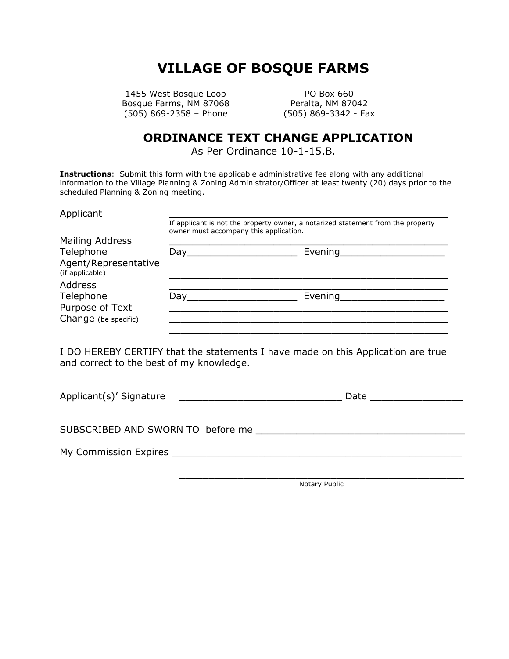## **VILLAGE OF BOSQUE FARMS**

1455 West Bosque Loop PO Box 660 Bosque Farms, NM 87068 Peralta, NM 87042 (505) 869-2358 – Phone (505) 869-3342 - Fax

## **ORDINANCE TEXT CHANGE APPLICATION**

As Per Ordinance 10-1-15.B.

**Instructions**: Submit this form with the applicable administrative fee along with any additional information to the Village Planning & Zoning Administrator/Officer at least twenty (20) days prior to the scheduled Planning & Zoning meeting.

| Applicant                                            | If applicant is not the property owner, a notarized statement from the property<br>owner must accompany this application. |         |  |  |
|------------------------------------------------------|---------------------------------------------------------------------------------------------------------------------------|---------|--|--|
| Mailing Address                                      |                                                                                                                           |         |  |  |
| Telephone<br>Agent/Representative<br>(if applicable) | Day                                                                                                                       | Evening |  |  |
| <b>Address</b><br>Telephone<br>Purpose of Text       | Dav                                                                                                                       | Evening |  |  |
| Change (be specific)                                 |                                                                                                                           |         |  |  |

I DO HEREBY CERTIFY that the statements I have made on this Application are true and correct to the best of my knowledge.

| Applicant(s)' Signature                                                                |  |
|----------------------------------------------------------------------------------------|--|
|                                                                                        |  |
| My Commission Expires <b>Existence Expires Existence <i>Except</i> <b>EXISTENT</b></b> |  |
|                                                                                        |  |

Notary Public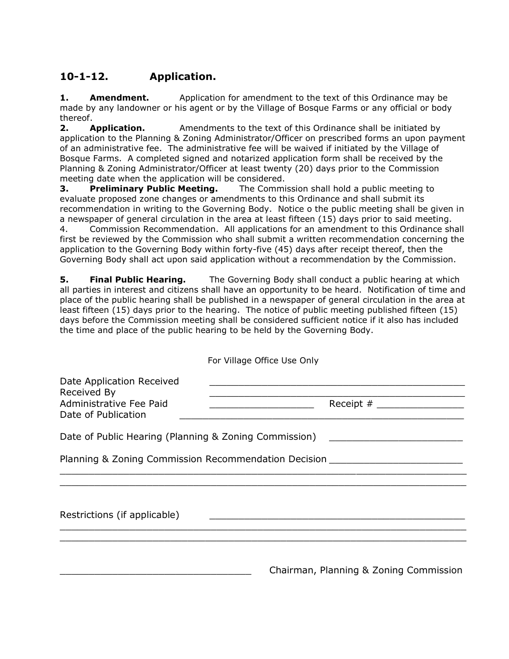## **10-1-12. Application.**

**1. Amendment.** Application for amendment to the text of this Ordinance may be made by any landowner or his agent or by the Village of Bosque Farms or any official or body thereof.

**2. Application.** Amendments to the text of this Ordinance shall be initiated by application to the Planning & Zoning Administrator/Officer on prescribed forms an upon payment of an administrative fee. The administrative fee will be waived if initiated by the Village of Bosque Farms. A completed signed and notarized application form shall be received by the Planning & Zoning Administrator/Officer at least twenty (20) days prior to the Commission meeting date when the application will be considered.

**3. Preliminary Public Meeting.** The Commission shall hold a public meeting to evaluate proposed zone changes or amendments to this Ordinance and shall submit its recommendation in writing to the Governing Body. Notice o the public meeting shall be given in a newspaper of general circulation in the area at least fifteen (15) days prior to said meeting.

4. Commission Recommendation. All applications for an amendment to this Ordinance shall first be reviewed by the Commission who shall submit a written recommendation concerning the application to the Governing Body within forty-five (45) days after receipt thereof, then the Governing Body shall act upon said application without a recommendation by the Commission.

**5. Final Public Hearing.** The Governing Body shall conduct a public hearing at which all parties in interest and citizens shall have an opportunity to be heard. Notification of time and place of the public hearing shall be published in a newspaper of general circulation in the area at least fifteen (15) days prior to the hearing. The notice of public meeting published fifteen (15) days before the Commission meeting shall be considered sufficient notice if it also has included the time and place of the public hearing to be held by the Governing Body.

|                                                                                            | For Village Office Use Only                                                                                                |
|--------------------------------------------------------------------------------------------|----------------------------------------------------------------------------------------------------------------------------|
| Date Application Received<br>Received By<br>Administrative Fee Paid<br>Date of Publication | Receipt $#$                                                                                                                |
|                                                                                            | Date of Public Hearing (Planning & Zoning Commission) [19] [19] [19] Date of Public Hearing (Planning & Zoning Commission) |
|                                                                                            | Planning & Zoning Commission Recommendation Decision                                                                       |
|                                                                                            |                                                                                                                            |
| Restrictions (if applicable)                                                               |                                                                                                                            |
|                                                                                            |                                                                                                                            |
|                                                                                            | Chairman, Planning & Zoning Commission                                                                                     |